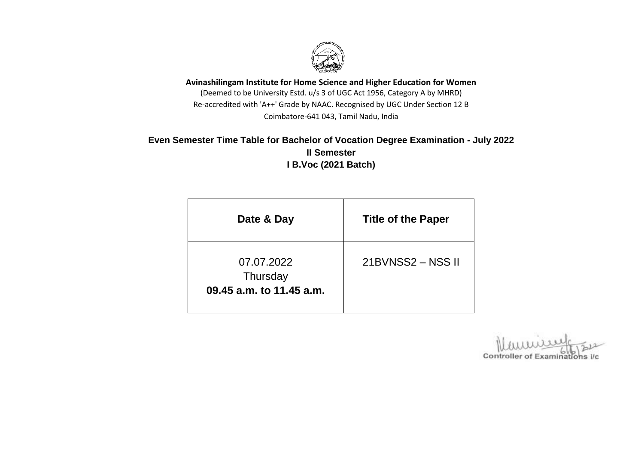

**Avinashilingam Institute for Home Science and Higher Education for Women** (Deemed to be University Estd. u/s 3 of UGC Act 1956, Category A by MHRD) Re-accredited with 'A++' Grade by NAAC. Recognised by UGC Under Section 12 B Coimbatore-641 043, Tamil Nadu, India

## **Even Semester Time Table for Bachelor of Vocation Degree Examination - July 2022 II Semester I B.Voc (2021 Batch)**

| Date & Day                                         | <b>Title of the Paper</b> |  |
|----------------------------------------------------|---------------------------|--|
| 07.07.2022<br>Thursday<br>09.45 a.m. to 11.45 a.m. | 21BVNSS2 - NSS II         |  |

Controller of Examinations i/c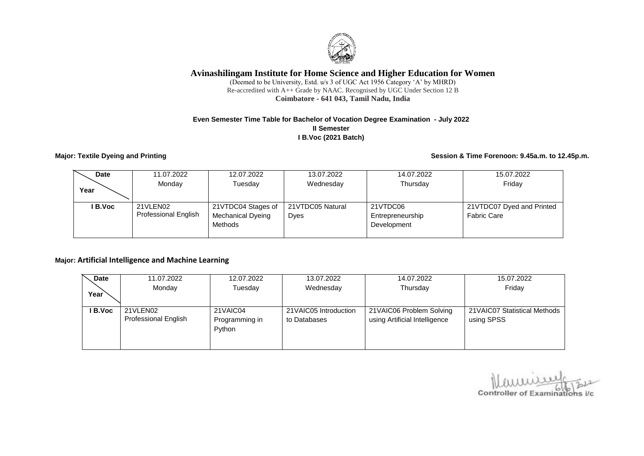

### **Avinashilingam Institute for Home Science and Higher Education for Women**

(Deemed to be University, Estd. u/s 3 of UGC Act 1956 Category 'A' by MHRD) Re-accredited with A++ Grade by NAAC. Recognised by UGC Under Section 12 B **Coimbatore - 641 043, Tamil Nadu, India**

#### **Even Semester Time Table for Bachelor of Vocation Degree Examination - July 2022 II Semester I B.Voc (2021 Batch)**

**Major: Textile Dyeing and Printing Session & Time Forenoon: 9.45a.m. to 12.45p.m.**

| <b>Date</b> | 11.07.2022                              | 12.07.2022                                         | 13.07.2022               | 14.07.2022                                  | 15.07.2022                                      |
|-------------|-----------------------------------------|----------------------------------------------------|--------------------------|---------------------------------------------|-------------------------------------------------|
| Year        | Monday                                  | Tuesdav                                            | Wednesday                | Thursday                                    | Friday                                          |
| l B.Voc     | 21VLEN02<br><b>Professional English</b> | 21VTDC04 Stages of<br>Mechanical Dyeing<br>Methods | 21VTDC05 Natural<br>Dyes | 21VTDC06<br>Entrepreneurship<br>Development | 21VTDC07 Dyed and Printed<br><b>Fabric Care</b> |

#### **Major: Artificial Intelligence and Machine Learning**

| <b>Date</b> | 11.07.2022                  | 12.07.2022     | 13.07.2022            | 14.07.2022                    | 15.07.2022                    |
|-------------|-----------------------------|----------------|-----------------------|-------------------------------|-------------------------------|
|             | Monday                      | Tuesdav        | Wednesday             | Thursday                      | Friday                        |
| Year        |                             |                |                       |                               |                               |
| I B.Voc     | 21VLEN02                    | 21VAIC04       | 21VAIC05 Introduction | 21VAIC06 Problem Solving      | 21 VAIC07 Statistical Methods |
|             | <b>Professional English</b> | Programming in | to Databases          | using Artificial Intelligence | using SPSS                    |
|             |                             | Python         |                       |                               |                               |
|             |                             |                |                       |                               |                               |
|             |                             |                |                       |                               |                               |

Controller of Examinations i/c